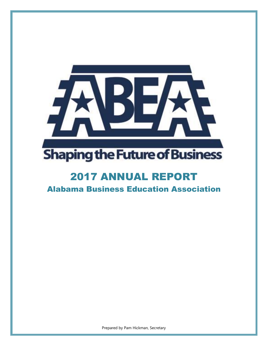

# 2017 ANNUAL REPORT

Alabama Business Education Association

Prepared by Pam Hickman, Secretary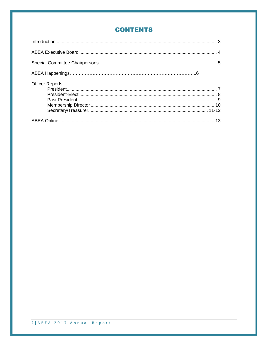## **CONTENTS**

| <b>Officer Reports</b> |  |
|------------------------|--|
|                        |  |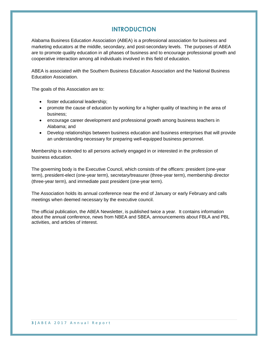## **INTRODUCTION**

Alabama Business Education Association (ABEA) is a professional association for business and marketing educators at the middle, secondary, and post-secondary levels. The purposes of ABEA are to promote quality education in all phases of business and to encourage professional growth and cooperative interaction among all individuals involved in this field of education.

ABEA is associated with the Southern Business Education Association and the National Business Education Association.

The goals of this Association are to:

- foster educational leadership;
- promote the cause of education by working for a higher quality of teaching in the area of business;
- encourage career development and professional growth among business teachers in Alabama; and
- Develop relationships between business education and business enterprises that will provide an understanding necessary for preparing well-equipped business personnel.

Membership is extended to all persons actively engaged in or interested in the profession of business education.

The governing body is the Executive Council, which consists of the officers: president (one-year term), president-elect (one-year term), secretary/treasurer (three-year term), membership director (three-year term), and immediate past president (one-year term).

The Association holds its annual conference near the end of January or early February and calls meetings when deemed necessary by the executive council.

The official publication, the ABEA Newsletter, is published twice a year. It contains information about the annual conference, news from NBEA and SBEA, announcements about FBLA and PBL activities, and articles of interest.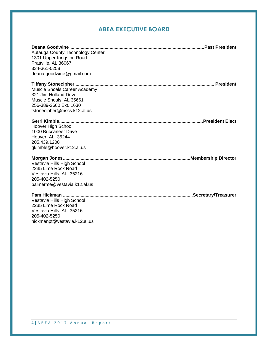# **ABEA EXECUTIVE BOARD**

| Autauga County Technology Center<br>1301 Upper Kingston Road<br>Prattville, AL 36067<br>334-361-0258<br>deana.goodwine@gmail.com          |  |
|-------------------------------------------------------------------------------------------------------------------------------------------|--|
| Muscle Shoals Career Academy<br>321 Jim Holland Drive<br>Muscle Shoals, AL 35661<br>256-389-2660 Ext. 1630<br>tstonecipher@mscs.k12.al.us |  |
| Hoover High School<br>1000 Buccaneer Drive<br>Hoover, AL 35244<br>205.439.1200<br>gkimble@hoover.k12.al.us                                |  |
| Vestavia Hills High School<br>2235 Lime Rock Road<br>Vestavia Hills, AL 35216<br>205-402-5250<br>palmerme@vestavia.k12.al.us              |  |
| Vestavia Hills High School<br>2235 Lime Rock Road<br>Vestavia Hills, AL 35216<br>205-402-5250<br>hickmanpt@vestavia.k12.al.us             |  |

**4 |** A B E A 2 0 1 7 A n n u a l R e p o r t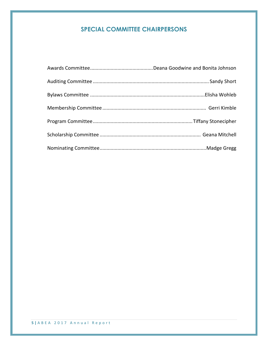# **SPECIAL COMMITTEE CHAIRPERSONS**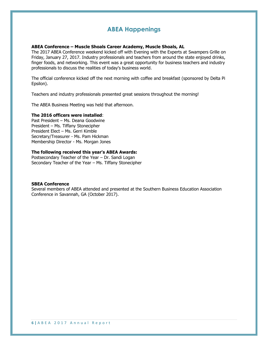## **ABEA Happenings**

#### **ABEA Conference – Muscle Shoals Career Academy, Muscle Shoals, AL**

The 2017 ABEA Conference weekend kicked off with Evening with the Experts at Swampers Grille on Friday, January 27, 2017. Industry professionals and teachers from around the state enjoyed drinks, finger foods, and networking. This event was a great opportunity for business teachers and industry professionals to discuss the realities of today's business world.

The official conference kicked off the next morning with coffee and breakfast (sponsored by Delta Pi Epsilon).

Teachers and industry professionals presented great sessions throughout the morning!

The ABEA Business Meeting was held that afternoon.

#### **The 2016 officers were installed**:

Past President – Ms. Deana Goodwine President – Ms. Tiffany Stonecipher President Elect – Ms. Gerri Kimble Secretary/Treasurer - Ms. Pam Hickman Membership Director - Ms. Morgan Jones

#### **The following received this year's ABEA Awards:**

Postsecondary Teacher of the Year – Dr. Sandi Logan Secondary Teacher of the Year – Ms. Tiffany Stonecipher

#### **SBEA Conference**

Several members of ABEA attended and presented at the Southern Business Education Association Conference in Savannah, GA (October 2017).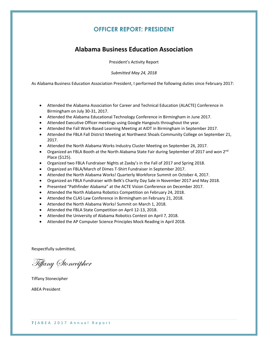## **OFFICER REPORT: PRESIDENT**

# **Alabama Business Education Association**

President's Activity Report

*Submitted May 24, 2018*

As Alabama Business Education Association President, I performed the following duties since February 2017:

- Attended the Alabama Association for Career and Technical Education (ALACTE) Conference in Birmingham on July 30-31, 2017.
- Attended the Alabama Educational Technology Conference in Birmingham in June 2017.
- Attended Executive Officer meetings using Google Hangouts throughout the year.
- Attended the Fall Work-Based Learning Meeting at AIDT in Birmingham in September 2017.
- Attended the FBLA Fall District Meeting at Northwest Shoals Community College on September 21, 2017.
- Attended the North Alabama Works Industry Cluster Meeting on September 26, 2017.
- Organized an FBLA Booth at the North Alabama State Fair during September of 2017 and won 2<sup>nd</sup> Place (\$125).
- Organized two FBLA Fundraiser Nights at Zaxby's in the Fall of 2017 and Spring 2018.
- Organized an FBLA/March of Dimes T-Shirt Fundraiser in September 2017.
- Attended the North Alabama Works! Quarterly Workforce Summit on October 4, 2017.
- Organized an FBLA Fundraiser with Belk's Charity Day Sale in November 2017 and May 2018.
- Presented "Pathfinder Alabama" at the ACTE Vision Conference on December 2017.
- Attended the North Alabama Robotics Competition on February 24, 2018.
- Attended the CLAS Law Conference in Birmingham on February 21, 2018.
- Attended the North Alabama Works! Summit on March 1, 2018.
- Attended the FBLA State Competition on April 12-13, 2018.
- Attended the University of Alabama Robotics Contest on April 7, 2018.
- Attended the AP Computer Science Principles Mock Reading in April 2018.

Respectfully submitted,

Tiffany Stonecipher

Tiffany Stonecipher

ABEA President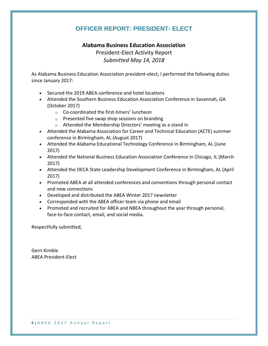# **OFFICER REPORT: PRESIDENT- ELECT**

## **Alabama Business Education Association**

President-Elect Activity Report *Submitted May 14, 2018*

As Alabama Business Education Association president-elect, I performed the following duties since January 2017:

- Secured the 2019 ABEA conference and hotel locations
- Attended the Southern Business Education Association Conference in Savannah, GA (October 2017)
	- o Co-coordinated the first-timers' luncheon
	- o Presented five swap shop sessions on branding
	- o Attended the Membership Directors' meeting as a stand in
- Attended the Alabama Association for Career and Technical Education (ACTE) summer conference in Birmingham, AL (August 2017)
- Attended the Alabama Educational Technology Conference in Birmingham, AL (June 2017)
- Attended the National Business Education Association Conference in Chicago, IL (March 2017)
- Attended the DECA State Leadership Development Conference in Birmingham, AL (April 2017)
- Promoted ABEA at all attended conferences and conventions through personal contact and new connections
- Developed and distributed the ABEA Winter 2017 newsletter
- Corresponded with the ABEA officer team via phone and email
- Promoted and recruited for ABEA and NBEA throughout the year through personal, face-to-face contact, email, and social media.

Respectfully submitted,

Gerri Kimble ABEA President-Elect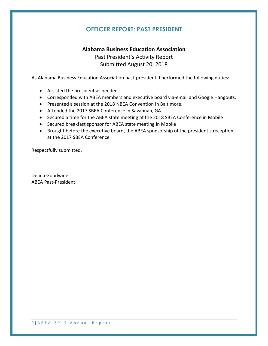# **OFFICER REPORT: PAST PRESIDENT**

## **Alabama Business Education Association**

Past President's Activity Report Submitted August 20, 2018

As Alabama Business Education Association past-president, I performed the following duties:

- Assisted the president as needed
- Corresponded with ABEA members and executive board via-email and Google Hangouts.
- Presented a session at the 2018 NBEA Convention in Baltimore.
- Attended the 2017 SBEA Conference in Savannah, GA.
- Secured a time for the ABEA state meeting at the 2018 SBEA Conference in Mobile
- Secured breakfast sponsor for ABEA state meeting in Mobile
- Brought before the executive board, the ABEA sponsorship of the president's reception at the 2017 SBEA Conference

Respectfully submitted,

Deana Goodwine ABEA Past-President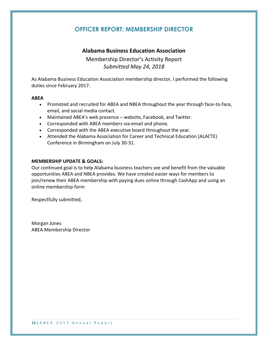## **OFFICER REPORT: MEMBERSHIP DIRECTOR**

## **Alabama Business Education Association**

Membership Director's Activity Report *Submitted May 24, 2018*

As Alabama Business Education Association membership director, I performed the following duties since February 2017:

#### **ABEA**

- Promoted and recruited for ABEA and NBEA throughout the year through face-to-face, email, and social media contact.
- Maintained ABEA's web presence website, Facebook, and Twitter.
- Corresponded with ABEA members via-email and phone.
- Corresponded with the ABEA executive board throughout the year.
- Attended the Alabama Association for Career and Technical Education (ALACTE) Conference in Birmingham on July 30-31.

### **MEMBERSHIP UPDATE & GOALS:**

Our continued goal is to help Alabama business teachers see and benefit from the valuable opportunities ABEA and NBEA provides. We have created easier ways for members to join/renew their ABEA membership with paying dues online through CashApp and using an online membership form

Respectfully submitted,

Morgan Jones ABEA Membership Director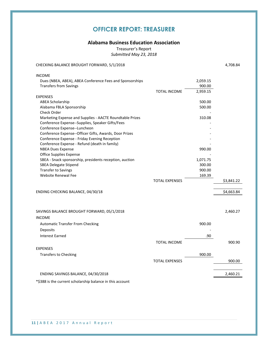# **OFFICER REPORT: TREASURER**

#### **Alabama Business Education Association**

Treasurer's Report *Submitted May 23, 2018*

CHECKING BALANCE BROUGHT FORWARD, 5/1/2018 4,708.84

| <b>INCOME</b>                                                                           |                       |          |            |
|-----------------------------------------------------------------------------------------|-----------------------|----------|------------|
| Dues (NBEA, ABEA), ABEA Conference Fees and Sponsorships                                |                       | 2,059.15 |            |
| <b>Transfers from Savings</b>                                                           |                       | 900.00   |            |
|                                                                                         | <b>TOTAL INCOME</b>   | 2,959.15 |            |
| <b>EXPENSES</b>                                                                         |                       |          |            |
| <b>ABEA Scholarship</b>                                                                 |                       | 500.00   |            |
| Alabama FBLA Sponsorship                                                                |                       | 500.00   |            |
| Check Order                                                                             |                       |          |            |
| Marketing Expense and Supplies - AACTE Roundtable Prizes                                |                       | 310.08   |            |
| Conference Expense--Supplies, Speaker Gifts/Fees                                        |                       |          |            |
| Conference Expense--Luncheon                                                            |                       |          |            |
| Conference Expense--Officer Gifts, Awards, Door Prizes                                  |                       |          |            |
| Conference Expense - Friday Evening Reception                                           |                       |          |            |
| Conference Expense - Refund (death in family)                                           |                       |          |            |
| <b>NBEA Dues Expense</b>                                                                |                       | 990.00   |            |
| <b>Office Supplies Expense</b>                                                          |                       | 1,071.75 |            |
| SBEA - Snack sponsorship, presidents reception, auction<br><b>SBEA Delegate Stipend</b> |                       | 300.00   |            |
| <b>Transfer to Savings</b>                                                              |                       | 900.00   |            |
| <b>Website Renewal Fee</b>                                                              |                       | 169.39   |            |
|                                                                                         | <b>TOTAL EXPENSES</b> |          | \$3,841.22 |
|                                                                                         |                       |          |            |
| ENDING CHECKING BALANCE, 04/30/18                                                       |                       |          | \$4,663.84 |
|                                                                                         |                       |          |            |
| SAVINGS BALANCE BROUGHT FORWARD, 05/1/2018                                              |                       |          | 2,460.27   |
| <b>INCOME</b>                                                                           |                       |          |            |
| <b>Automatic Transfer From Checking</b>                                                 |                       | 900.00   |            |
| Deposits                                                                                |                       |          |            |
| <b>Interest Earned</b>                                                                  |                       | .90      |            |
|                                                                                         | <b>TOTAL INCOME</b>   |          | 900.90     |
| <b>EXPENSES</b>                                                                         |                       |          |            |
| <b>Transfers to Checking</b>                                                            |                       | 900.00   |            |
|                                                                                         |                       |          |            |
|                                                                                         | <b>TOTAL EXPENSES</b> |          | 900.00     |
| ENDING SAVINGS BALANCE, 04/30/2018                                                      |                       |          | 2,460.21   |
| *\$388 is the current scholarship balance in this account                               |                       |          |            |

**11 |** A B E A 2 0 1 7 A n n u a l R e p o r t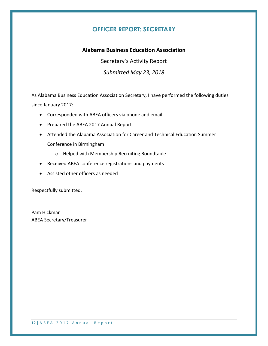# **OFFICER REPORT: SECRETARY**

## **Alabama Business Education Association**

Secretary's Activity Report

*Submitted May 23, 2018*

As Alabama Business Education Association Secretary, I have performed the following duties since January 2017:

- Corresponded with ABEA officers via phone and email
- Prepared the ABEA 2017 Annual Report
- Attended the Alabama Association for Career and Technical Education Summer Conference in Birmingham
	- o Helped with Membership Recruiting Roundtable
- Received ABEA conference registrations and payments
- Assisted other officers as needed

Respectfully submitted,

Pam Hickman ABEA Secretary/Treasurer